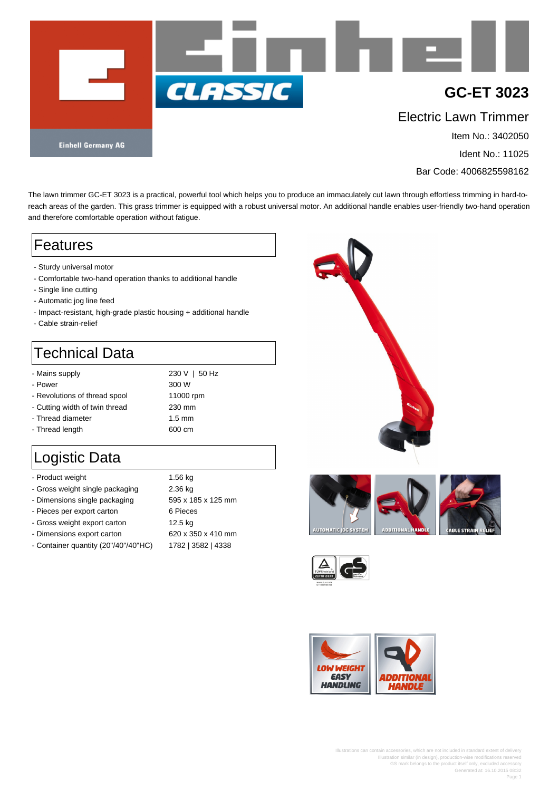

Ident No.: 11025

Bar Code: 4006825598162

The lawn trimmer GC-ET 3023 is a practical, powerful tool which helps you to produce an immaculately cut lawn through effortless trimming in hard-toreach areas of the garden. This grass trimmer is equipped with a robust universal motor. An additional handle enables user-friendly two-hand operation and therefore comfortable operation without fatigue.

### Features

- Sturdy universal motor
- Comfortable two-hand operation thanks to additional handle
- Single line cutting
- Automatic jog line feed
- Impact-resistant, high-grade plastic housing + additional handle
- Cable strain-relief

# Technical Data

- Mains supply 230 V | 50 Hz
- Power 300 W
- Revolutions of thread spool 11000 rpm
- Cutting width of twin thread 230 mm
- Thread diameter 1.5 mm
- Thread length 600 cm

## Logistic Data

| - Product weight                     | 1.56 kg            |
|--------------------------------------|--------------------|
| - Gross weight single packaging      | 2.36 kg            |
| - Dimensions single packaging        | 595 x 185 x 125 mm |
| - Pieces per export carton           | 6 Pieces           |
| - Gross weight export carton         | 12.5 kg            |
| - Dimensions export carton           | 620 x 350 x 410 mm |
| - Container quantity (20"/40"/40"HC) | 1782   3582   4338 |







Illustrations can contain accessories, which are not included in standard extent of delivery Illustration similar (in design), production-wise modifications reserved GS mark belongs to the product itself only, excluded accessory Generated at: 16.10.2015 08:32 Page 1